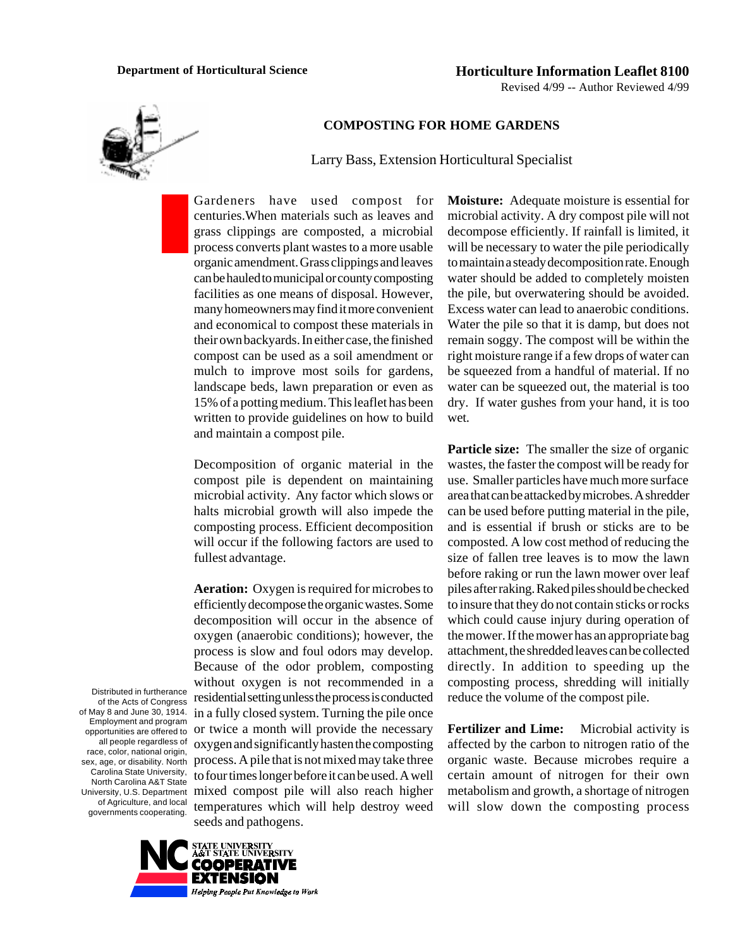

## **COMPOSTING FOR HOME GARDENS**

Larry Bass, Extension Horticultural Specialist

Gardeners have used compost for centuries.When materials such as leaves and grass clippings are composted, a microbial process converts plant wastes to a more usable organic amendment. Grass clippings and leaves can be hauled to municipal or county composting facilities as one means of disposal. However, many homeowners may find it more convenient and economical to compost these materials in their own backyards. In either case, the finished compost can be used as a soil amendment or mulch to improve most soils for gardens, landscape beds, lawn preparation or even as 15% of a potting medium. This leaflet has been written to provide guidelines on how to build and maintain a compost pile.

Decomposition of organic material in the compost pile is dependent on maintaining microbial activity. Any factor which slows or halts microbial growth will also impede the composting process. Efficient decomposition will occur if the following factors are used to fullest advantage.

**Aeration:** Oxygen is required for microbes to efficiently decompose the organic wastes. Some decomposition will occur in the absence of oxygen (anaerobic conditions); however, the process is slow and foul odors may develop. Because of the odor problem, composting without oxygen is not recommended in a residential setting unless the process is conducted in a fully closed system. Turning the pile once or twice a month will provide the necessary oxygen and significantly hasten the composting process. A pile that is not mixed may take three to four times longer before it can be used. A well mixed compost pile will also reach higher temperatures which will help destroy weed seeds and pathogens.

microbial activity. A dry compost pile will not decompose efficiently. If rainfall is limited, it will be necessary to water the pile periodically to maintain a steady decomposition rate. Enough water should be added to completely moisten the pile, but overwatering should be avoided. Excess water can lead to anaerobic conditions. Water the pile so that it is damp, but does not remain soggy. The compost will be within the right moisture range if a few drops of water can be squeezed from a handful of material. If no water can be squeezed out, the material is too dry. If water gushes from your hand, it is too wet.

**Moisture:** Adequate moisture is essential for

**Particle size:** The smaller the size of organic wastes, the faster the compost will be ready for use. Smaller particles have much more surface area that can be attacked by microbes. A shredder can be used before putting material in the pile, and is essential if brush or sticks are to be composted. A low cost method of reducing the size of fallen tree leaves is to mow the lawn before raking or run the lawn mower over leaf piles after raking. Raked piles should be checked to insure that they do not contain sticks or rocks which could cause injury during operation of the mower. If the mower has an appropriate bag attachment, the shredded leaves can be collected directly. In addition to speeding up the composting process, shredding will initially reduce the volume of the compost pile.

**Fertilizer and Lime:** Microbial activity is affected by the carbon to nitrogen ratio of the organic waste. Because microbes require a certain amount of nitrogen for their own metabolism and growth, a shortage of nitrogen will slow down the composting process

Distributed in furtherance of the Acts of Congress of May 8 and June 30, 1914. Employment and program opportunities are offered to all people regardless of race, color, national origin, sex, age, or disability. North Carolina State University, North Carolina A&T State University, U.S. Department of Agriculture, and local governments cooperating.

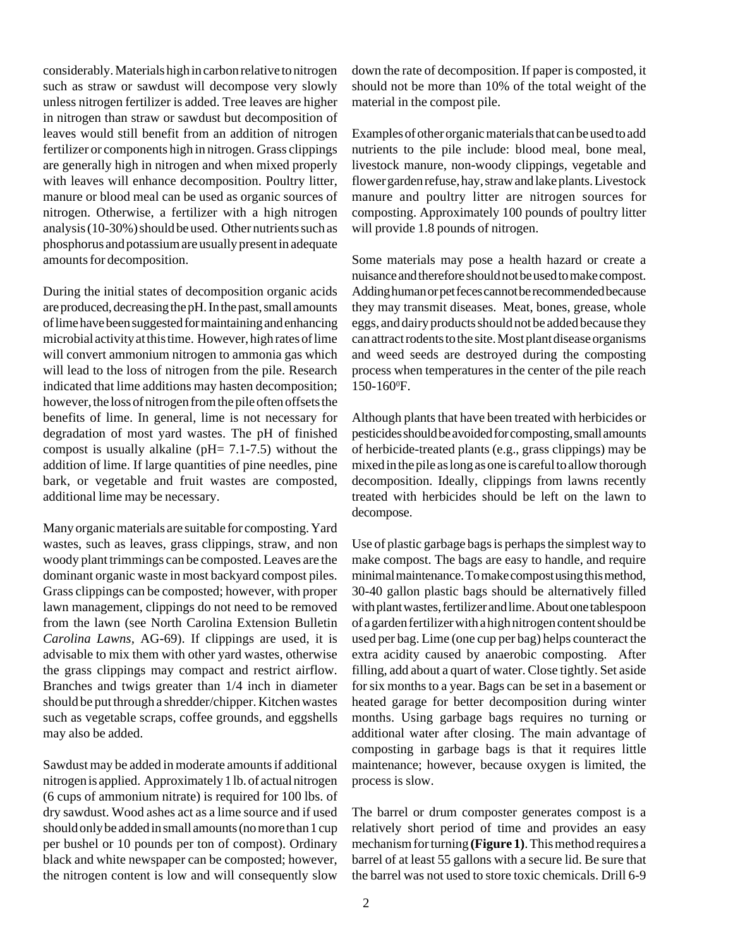considerably. Materials high in carbon relative to nitrogen such as straw or sawdust will decompose very slowly unless nitrogen fertilizer is added. Tree leaves are higher in nitrogen than straw or sawdust but decomposition of leaves would still benefit from an addition of nitrogen fertilizer or components high in nitrogen. Grass clippings are generally high in nitrogen and when mixed properly with leaves will enhance decomposition. Poultry litter, manure or blood meal can be used as organic sources of nitrogen. Otherwise, a fertilizer with a high nitrogen analysis (10-30%) should be used. Other nutrients such as phosphorus and potassium are usually present in adequate amounts for decomposition.

During the initial states of decomposition organic acids are produced, decreasing the pH. In the past, small amounts of lime have been suggested for maintaining and enhancing microbial activity at this time. However, high rates of lime will convert ammonium nitrogen to ammonia gas which will lead to the loss of nitrogen from the pile. Research indicated that lime additions may hasten decomposition; however, the loss of nitrogen from the pile often offsets the benefits of lime. In general, lime is not necessary for degradation of most yard wastes. The pH of finished compost is usually alkaline (pH= 7.1-7.5) without the addition of lime. If large quantities of pine needles, pine bark, or vegetable and fruit wastes are composted, additional lime may be necessary.

Many organic materials are suitable for composting. Yard wastes, such as leaves, grass clippings, straw, and non woody plant trimmings can be composted. Leaves are the dominant organic waste in most backyard compost piles. Grass clippings can be composted; however, with proper lawn management, clippings do not need to be removed from the lawn (see North Carolina Extension Bulletin *Carolina Lawns,* AG-69). If clippings are used, it is advisable to mix them with other yard wastes, otherwise the grass clippings may compact and restrict airflow. Branches and twigs greater than 1/4 inch in diameter should be put through a shredder/chipper. Kitchen wastes such as vegetable scraps, coffee grounds, and eggshells may also be added.

Sawdust may be added in moderate amounts if additional nitrogen is applied. Approximately 1 lb. of actual nitrogen (6 cups of ammonium nitrate) is required for 100 lbs. of dry sawdust. Wood ashes act as a lime source and if used should only be added in small amounts (no more than 1 cup per bushel or 10 pounds per ton of compost). Ordinary black and white newspaper can be composted; however, the nitrogen content is low and will consequently slow

down the rate of decomposition. If paper is composted, it should not be more than 10% of the total weight of the material in the compost pile.

Examples of other organic materials that can be used to add nutrients to the pile include: blood meal, bone meal, livestock manure, non-woody clippings, vegetable and flower garden refuse, hay, straw and lake plants. Livestock manure and poultry litter are nitrogen sources for composting. Approximately 100 pounds of poultry litter will provide 1.8 pounds of nitrogen.

Some materials may pose a health hazard or create a nuisance and therefore should not be used to make compost. Adding human or pet feces cannot be recommended because they may transmit diseases. Meat, bones, grease, whole eggs, and dairy products should not be added because they can attract rodents to the site. Most plant disease organisms and weed seeds are destroyed during the composting process when temperatures in the center of the pile reach 150-160<sup>o</sup>F.

Although plants that have been treated with herbicides or pesticides should be avoided for composting, small amounts of herbicide-treated plants (e.g., grass clippings) may be mixed in the pile as long as one is careful to allow thorough decomposition. Ideally, clippings from lawns recently treated with herbicides should be left on the lawn to decompose.

Use of plastic garbage bags is perhaps the simplest way to make compost. The bags are easy to handle, and require minimal maintenance. To make compost using this method, 30-40 gallon plastic bags should be alternatively filled with plant wastes, fertilizer and lime. About one tablespoon of a garden fertilizer with a high nitrogen content should be used per bag. Lime (one cup per bag) helps counteract the extra acidity caused by anaerobic composting. After filling, add about a quart of water. Close tightly. Set aside for six months to a year. Bags can be set in a basement or heated garage for better decomposition during winter months. Using garbage bags requires no turning or additional water after closing. The main advantage of composting in garbage bags is that it requires little maintenance; however, because oxygen is limited, the process is slow.

The barrel or drum composter generates compost is a relatively short period of time and provides an easy mechanism for turning **(Figure 1)**. This method requires a barrel of at least 55 gallons with a secure lid. Be sure that the barrel was not used to store toxic chemicals. Drill 6-9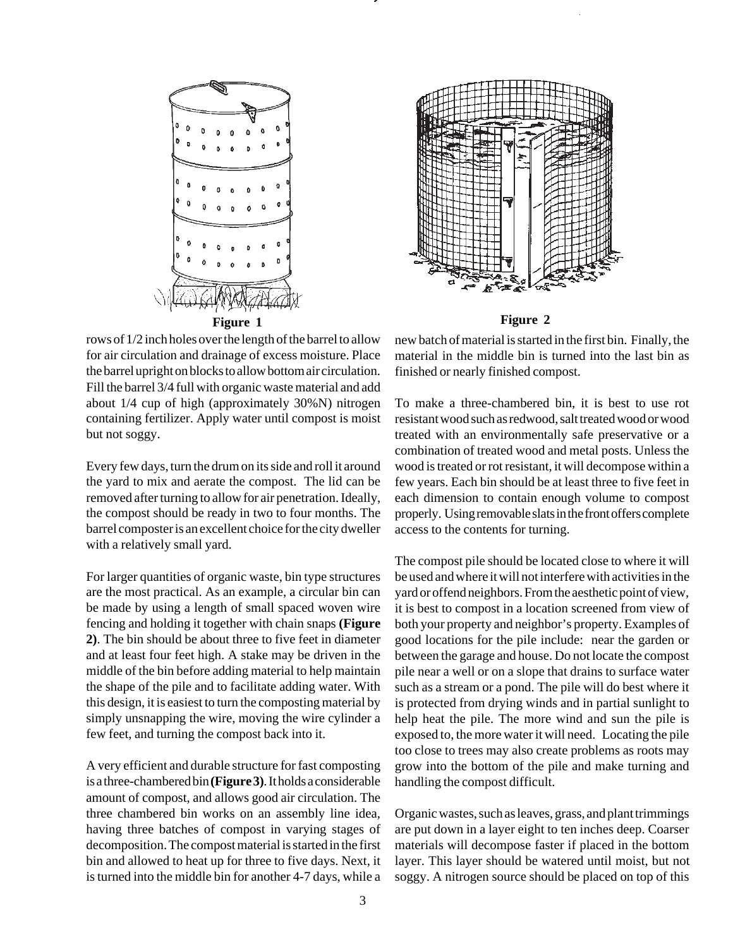

rows of 1/2 inch holes over the length of the barrel to allow for air circulation and drainage of excess moisture. Place the barrel upright on blocks to allow bottom air circulation. Fill the barrel 3/4 full with organic waste material and add about 1/4 cup of high (approximately 30%N) nitrogen containing fertilizer. Apply water until compost is moist but not soggy.

Every few days, turn the drum on its side and roll it around the yard to mix and aerate the compost. The lid can be removed after turning to allow for air penetration. Ideally, the compost should be ready in two to four months. The barrel composter is an excellent choice for the city dweller with a relatively small yard.

For larger quantities of organic waste, bin type structures are the most practical. As an example, a circular bin can be made by using a length of small spaced woven wire fencing and holding it together with chain snaps **(Figure 2)**. The bin should be about three to five feet in diameter and at least four feet high. A stake may be driven in the middle of the bin before adding material to help maintain the shape of the pile and to facilitate adding water. With this design, it is easiest to turn the composting material by simply unsnapping the wire, moving the wire cylinder a few feet, and turning the compost back into it.

A very efficient and durable structure for fast composting is a three-chambered bin **(Figure 3)**. It holds a considerable amount of compost, and allows good air circulation. The three chambered bin works on an assembly line idea, having three batches of compost in varying stages of decomposition. The compost material is started in the first bin and allowed to heat up for three to five days. Next, it is turned into the middle bin for another 4-7 days, while a



new batch of material is started in the first bin. Finally, the material in the middle bin is turned into the last bin as finished or nearly finished compost.

To make a three-chambered bin, it is best to use rot resistant wood such as redwood, salt treated wood or wood treated with an environmentally safe preservative or a combination of treated wood and metal posts. Unless the wood is treated or rot resistant, it will decompose within a few years. Each bin should be at least three to five feet in each dimension to contain enough volume to compost properly. Using removable slats in the front offers complete access to the contents for turning.

The compost pile should be located close to where it will be used and where it will not interfere with activities in the yard or offend neighbors. From the aesthetic point of view, it is best to compost in a location screened from view of both your property and neighbor's property. Examples of good locations for the pile include: near the garden or between the garage and house. Do not locate the compost pile near a well or on a slope that drains to surface water such as a stream or a pond. The pile will do best where it is protected from drying winds and in partial sunlight to help heat the pile. The more wind and sun the pile is exposed to, the more water it will need. Locating the pile too close to trees may also create problems as roots may grow into the bottom of the pile and make turning and handling the compost difficult.

Organic wastes, such as leaves, grass, and plant trimmings are put down in a layer eight to ten inches deep. Coarser materials will decompose faster if placed in the bottom layer. This layer should be watered until moist, but not soggy. A nitrogen source should be placed on top of this